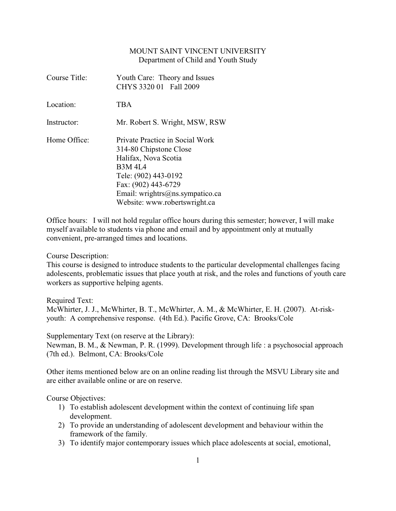## MOUNT SAINT VINCENT UNIVERSITY Department of Child and Youth Study

| Course Title: | Youth Care: Theory and Issues<br>CHYS 3320 01 Fall 2009                                                                                                                                                                |
|---------------|------------------------------------------------------------------------------------------------------------------------------------------------------------------------------------------------------------------------|
| Location:     | TBA                                                                                                                                                                                                                    |
| Instructor:   | Mr. Robert S. Wright, MSW, RSW                                                                                                                                                                                         |
| Home Office:  | Private Practice in Social Work<br>314-80 Chipstone Close<br>Halifax, Nova Scotia<br><b>B3M 4L4</b><br>Tele: (902) 443-0192<br>Fax: (902) 443-6729<br>Email: wrightrs@ns.sympatico.ca<br>Website: www.robertswright.ca |

Office hours: I will not hold regular office hours during this semester; however, I will make myself available to students via phone and email and by appointment only at mutually convenient, pre-arranged times and locations.

Course Description:

This course is designed to introduce students to the particular developmental challenges facing adolescents, problematic issues that place youth at risk, and the roles and functions of youth care workers as supportive helping agents.

Required Text:

McWhirter, J. J., McWhirter, B. T., McWhirter, A. M., & McWhirter, E. H. (2007). At-riskyouth: A comprehensive response. (4th Ed.). Pacific Grove, CA: Brooks/Cole

Supplementary Text (on reserve at the Library): Newman, B. M., & Newman, P. R. (1999). Development through life : a psychosocial approach (7th ed.). Belmont, CA: Brooks/Cole

Other items mentioned below are on an online reading list through the MSVU Library site and are either available online or are on reserve.

Course Objectives:

- 1) To establish adolescent development within the context of continuing life span development.
- 2) To provide an understanding of adolescent development and behaviour within the framework of the family.
- 3) To identify major contemporary issues which place adolescents at social, emotional,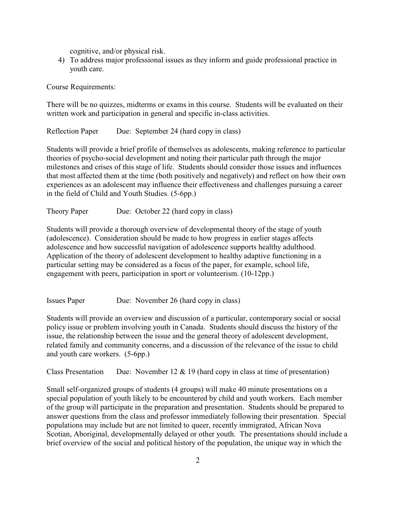cognitive, and/or physical risk.

4) To address major professional issues as they inform and guide professional practice in youth care.

Course Requirements:

There will be no quizzes, midterms or exams in this course. Students will be evaluated on their written work and participation in general and specific in-class activities.

Reflection Paper Due: September 24 (hard copy in class)

Students will provide a brief profile of themselves as adolescents, making reference to particular theories of psycho-social development and noting their particular path through the major milestones and crises of this stage of life. Students should consider those issues and influences that most affected them at the time (both positively and negatively) and reflect on how their own experiences as an adolescent may influence their effectiveness and challenges pursuing a career in the field of Child and Youth Studies. (5-6pp.)

Theory Paper Due: October 22 (hard copy in class)

Students will provide a thorough overview of developmental theory of the stage of youth (adolescence). Consideration should be made to how progress in earlier stages affects adolescence and how successful navigation of adolescence supports healthy adulthood. Application of the theory of adolescent development to healthy adaptive functioning in a particular setting may be considered as a focus of the paper, for example, school life, engagement with peers, participation in sport or volunteerism. (10-12pp.)

Issues Paper Due: November 26 (hard copy in class)

Students will provide an overview and discussion of a particular, contemporary social or social policy issue or problem involving youth in Canada. Students should discuss the history of the issue, the relationship between the issue and the general theory of adolescent development, related family and community concerns, and a discussion of the relevance of the issue to child and youth care workers. (5-6pp.)

Class Presentation Due: November 12  $& 19$  (hard copy in class at time of presentation)

Small self-organized groups of students (4 groups) will make 40 minute presentations on a special population of youth likely to be encountered by child and youth workers. Each member of the group will participate in the preparation and presentation. Students should be prepared to answer questions from the class and professor immediately following their presentation. Special populations may include but are not limited to queer, recently immigrated, African Nova Scotian, Aboriginal, developmentally delayed or other youth. The presentations should include a brief overview of the social and political history of the population, the unique way in which the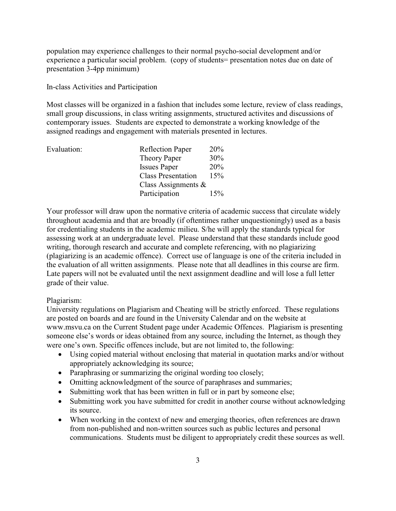population may experience challenges to their normal psycho-social development and/or experience a particular social problem. (copy of students= presentation notes due on date of presentation 3-4pp minimum)

In-class Activities and Participation

Most classes will be organized in a fashion that includes some lecture, review of class readings, small group discussions, in class writing assignments, structured activites and discussions of contemporary issues. Students are expected to demonstrate a working knowledge of the assigned readings and engagement with materials presented in lectures.

| Evaluation: | <b>Reflection Paper</b>   | 20% |
|-------------|---------------------------|-----|
|             | Theory Paper              | 30% |
|             | <b>Issues Paper</b>       | 20% |
|             | <b>Class Presentation</b> | 15% |
|             | Class Assignments $\&$    |     |
|             | Participation             | 15% |

Your professor will draw upon the normative criteria of academic success that circulate widely throughout academia and that are broadly (if oftentimes rather unquestioningly) used as a basis for credentialing students in the academic milieu. S/he will apply the standards typical for assessing work at an undergraduate level. Please understand that these standards include good writing, thorough research and accurate and complete referencing, with no plagiarizing (plagiarizing is an academic offence). Correct use of language is one of the criteria included in the evaluation of all written assignments. Please note that all deadlines in this course are firm. Late papers will not be evaluated until the next assignment deadline and will lose a full letter grade of their value.

## Plagiarism:

University regulations on Plagiarism and Cheating will be strictly enforced. These regulations are posted on boards and are found in the University Calendar and on the website at www.msvu.ca on the Current Student page under Academic Offences. Plagiarism is presenting someone else's words or ideas obtained from any source, including the Internet, as though they were one's own. Specific offences include, but are not limited to, the following:

Using copied material without enclosing that material in quotation marks and/or without appropriately acknowledging its source;

Paraphrasing or summarizing the original wording too closely;

Omitting acknowledgment of the source of paraphrases and summaries;

Submitting work that has been written in full or in part by someone else;

Submitting work you have submitted for credit in another course without acknowledging its source.

When working in the context of new and emerging theories, often references are drawn from non-published and non-written sources such as public lectures and personal communications. Students must be diligent to appropriately credit these sources as well.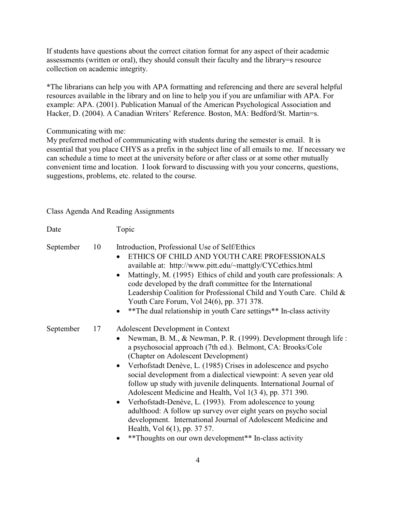If students have questions about the correct citation format for any aspect of their academic assessments (written or oral), they should consult their faculty and the library=s resource collection on academic integrity.

\*The librarians can help you with APA formatting and referencing and there are several helpful resources available in the library and on line to help you if you are unfamiliar with APA. For example: APA. (2001). Publication Manual of the American Psychological Association and Hacker, D. (2004). A Canadian Writers' Reference. Boston, MA: Bedford/St. Martin=s.

## Communicating with me:

My preferred method of communicating with students during the semester is email. It is essential that you place CHYS as a prefix in the subject line of all emails to me. If necessary we can schedule a time to meet at the university before or after class or at some other mutually convenient time and location. I look forward to discussing with you your concerns, questions, suggestions, problems, etc. related to the course.

Class Agenda And Reading Assignments

| Date      |    | Topic                                                                                                                                                                                                                                                                                                                                                                                                                                                                                                                                                                                                                                                                                                                                                                            |
|-----------|----|----------------------------------------------------------------------------------------------------------------------------------------------------------------------------------------------------------------------------------------------------------------------------------------------------------------------------------------------------------------------------------------------------------------------------------------------------------------------------------------------------------------------------------------------------------------------------------------------------------------------------------------------------------------------------------------------------------------------------------------------------------------------------------|
| September | 10 | Introduction, Professional Use of Self/Ethics<br>ETHICS OF CHILD AND YOUTH CARE PROFESSIONALS<br>available at: http://www.pitt.edu/~mattgly/CYCethics.html<br>Mattingly, M. (1995) Ethics of child and youth care professionals: A<br>code developed by the draft committee for the International<br>Leadership Coalition for Professional Child and Youth Care. Child &<br>Youth Care Forum, Vol 24(6), pp. 371 378.<br>** The dual relationship in youth Care settings** In-class activity                                                                                                                                                                                                                                                                                     |
| September | 17 | Adolescent Development in Context<br>Newman, B. M., & Newman, P. R. (1999). Development through life :<br>a psychosocial approach (7th ed.). Belmont, CA: Brooks/Cole<br>(Chapter on Adolescent Development)<br>Verhofstadt Denève, L. (1985) Crises in adolescence and psycho<br>social development from a dialectical viewpoint: A seven year old<br>follow up study with juvenile delinquents. International Journal of<br>Adolescent Medicine and Health, Vol 1(3 4), pp. 371 390.<br>Verhofstadt-Denève, L. (1993). From adolescence to young<br>adulthood: A follow up survey over eight years on psycho social<br>development. International Journal of Adolescent Medicine and<br>Health, Vol 6(1), pp. 37 57.<br>** Thoughts on our own development** In-class activity |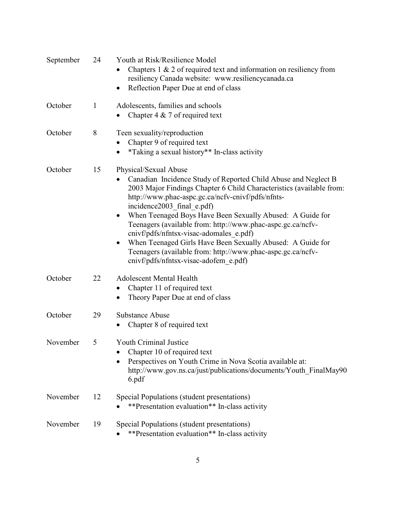| September | 24 | Youth at Risk/Resilience Model<br>Chapters $1 \& 2$ of required text and information on resiliency from<br>resiliency Canada website: www.resiliencycanada.ca<br>Reflection Paper Due at end of class                                                                                                                                                                                                                                                                                                                                                                                           |
|-----------|----|-------------------------------------------------------------------------------------------------------------------------------------------------------------------------------------------------------------------------------------------------------------------------------------------------------------------------------------------------------------------------------------------------------------------------------------------------------------------------------------------------------------------------------------------------------------------------------------------------|
| October   | 1  | Adolescents, families and schools<br>Chapter 4 $\&$ 7 of required text                                                                                                                                                                                                                                                                                                                                                                                                                                                                                                                          |
| October   | 8  | Teen sexuality/reproduction<br>Chapter 9 of required text<br>*Taking a sexual history** In-class activity                                                                                                                                                                                                                                                                                                                                                                                                                                                                                       |
| October   | 15 | Physical/Sexual Abuse<br>Canadian Incidence Study of Reported Child Abuse and Neglect B<br>2003 Major Findings Chapter 6 Child Characteristics (available from:<br>http://www.phac-aspc.gc.ca/ncfv-cnivf/pdfs/nfnts-<br>incidence2003 final e.pdf)<br>When Teenaged Boys Have Been Sexually Abused: A Guide for<br>Teenagers (available from: http://www.phac-aspc.gc.ca/ncfv-<br>cnivf/pdfs/nfntsx-visac-adomales e.pdf)<br>When Teenaged Girls Have Been Sexually Abused: A Guide for<br>Teenagers (available from: http://www.phac-aspc.gc.ca/ncfv-<br>cnivf/pdfs/nfntsx-visac-adofem e.pdf) |
| October   | 22 | <b>Adolescent Mental Health</b><br>Chapter 11 of required text<br>Theory Paper Due at end of class                                                                                                                                                                                                                                                                                                                                                                                                                                                                                              |
| October   | 29 | <b>Substance Abuse</b><br>Chapter 8 of required text                                                                                                                                                                                                                                                                                                                                                                                                                                                                                                                                            |
| November  | 5  | <b>Youth Criminal Justice</b><br>Chapter 10 of required text<br>Perspectives on Youth Crime in Nova Scotia available at:<br>http://www.gov.ns.ca/just/publications/documents/Youth FinalMay90<br>6.pdf                                                                                                                                                                                                                                                                                                                                                                                          |
| November  | 12 | Special Populations (student presentations)<br>**Presentation evaluation** In-class activity                                                                                                                                                                                                                                                                                                                                                                                                                                                                                                    |
| November  | 19 | Special Populations (student presentations)<br>**Presentation evaluation** In-class activity                                                                                                                                                                                                                                                                                                                                                                                                                                                                                                    |